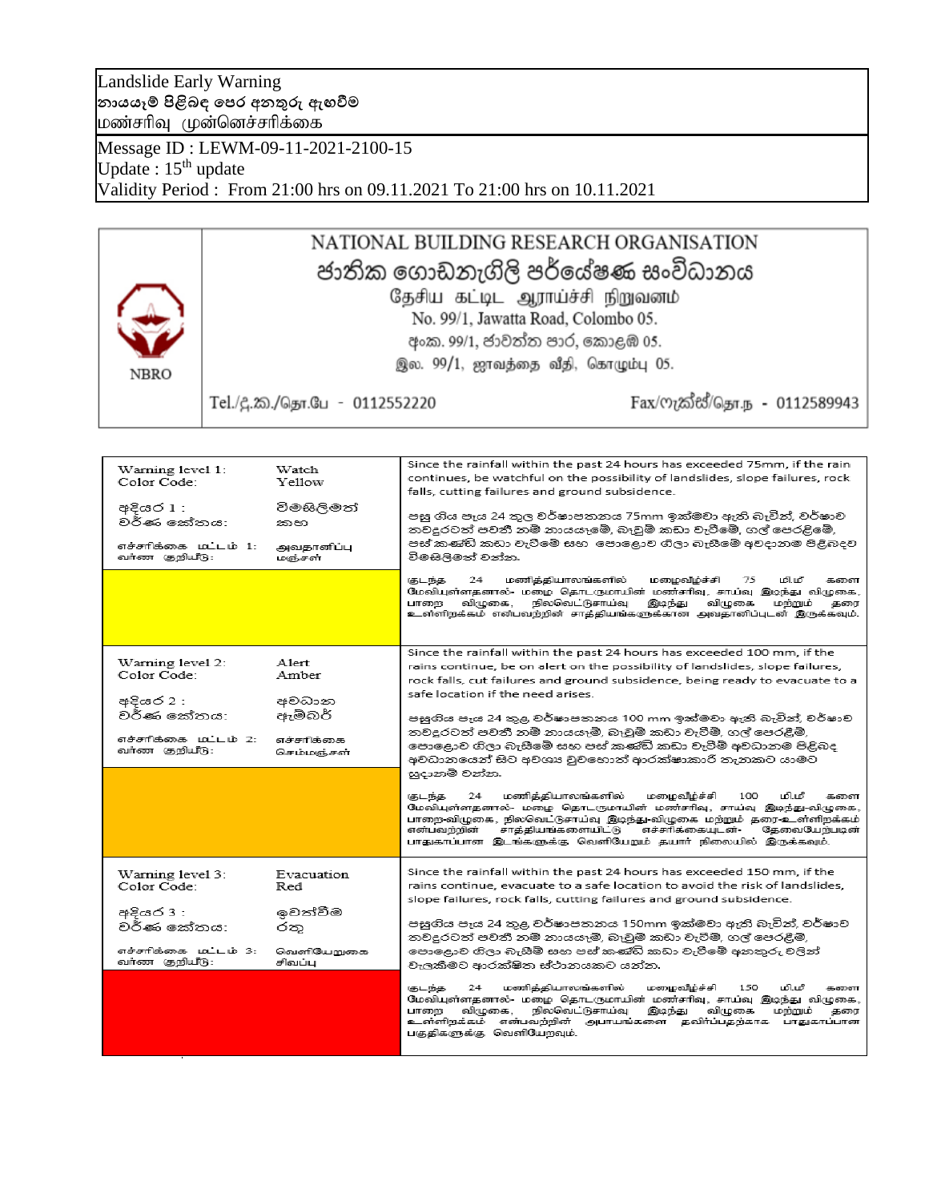### Landslide Early Warning **නායයෑම් පිළිබඳ පෙර අනතුරු ඇඟවීම** மண்சரிவு முன்னெச்சரிக்கை

Message ID : LEWM-09-11-2021-2100-15 Update:  $15<sup>th</sup>$  update Validity Period : From 21:00 hrs on 09.11.2021 To 21:00 hrs on 10.11.2021

## NATIONAL BUILDING RESEARCH ORGANISATION ජාතික ගොඩනැගිලි පර්යේෂණ සංවිධානය தேசிய கட்டிட ஆராய்ச்சி நிறுவனம் No. 99/1, Jawatta Road, Colombo 05. අංක. 99/1, ජාවත්ත පාර, කොළඹ 05.

இல. 99/1, ஜாவத்தை வீதி, கொழும்பு 05.

**NBRO** 

Tel./දී.ක./தொ.பே - 0112552220

Fax/ෆැක්ස්/தொ.ந - 0112589943

| Warning level 1:<br>Color Code:<br>අදියර 1 :<br>වර්ණ කේතය:<br>எச்சாிக்கை மட்டம் 1:<br>வர்ண குறியீடு: | Watch<br>Yellow<br>විමසිලිමත්<br>කභ<br>அவதானிப்பு<br>மஞ்சள் | Since the rainfall within the past 24 hours has exceeded 75mm, if the rain<br>continues, be watchful on the possibility of landslides, slope failures, rock<br>falls, cutting failures and ground subsidence.<br>පසු ගිය පැය 24 තුල වර්ෂාපතනය 75mm ඉක්මවා ඇති බැවින්, වර්ෂාව<br>තවදුරටත් පවතී නම් නායයෑමේ, බෑවුම් කඩා වැටීමේ, ගල් පෙරළිමේ,<br>පස් කණ්ඩි කඩා වැටීමේ සහ පොළොව ගිලා බැසීමේ අවදානම පිළිබදව<br>විමසිලිමත් වන්න.<br>மணித்தியாலங்களில்<br>மழைவீழ்ச்சி<br>கடந்த<br>24<br>75<br>மிபரீ<br>களை |
|------------------------------------------------------------------------------------------------------|-------------------------------------------------------------|-----------------------------------------------------------------------------------------------------------------------------------------------------------------------------------------------------------------------------------------------------------------------------------------------------------------------------------------------------------------------------------------------------------------------------------------------------------------------------------------------------|
|                                                                                                      |                                                             | மேவியுள்ளதனால்- மழை தொடருமாயின் மண்சரிவு, சாய்வு இடிந்து விழுகை,<br>வி:முகை.<br>நிலவெட்டுசாய்வு<br>வி:டிகை<br>பாலை<br>இடிந்து<br>மந்நும்<br>களை<br>உள்ளிறக்கம் என்பவற்றின் சாத்தியங்களுக்கான அவதானிப்புடன் இருக்கவும்.                                                                                                                                                                                                                                                                              |
|                                                                                                      |                                                             | Since the rainfall within the past 24 hours has exceeded 100 mm, if the                                                                                                                                                                                                                                                                                                                                                                                                                             |
| Warning level 2:                                                                                     | Alert                                                       | rains continue, be on alert on the possibility of landslides, slope failures,                                                                                                                                                                                                                                                                                                                                                                                                                       |
| Color Code:                                                                                          | Amber                                                       | rock falls, cut failures and ground subsidence, being ready to evacuate to a                                                                                                                                                                                                                                                                                                                                                                                                                        |
|                                                                                                      |                                                             | safe location if the need arises.                                                                                                                                                                                                                                                                                                                                                                                                                                                                   |
| අදියර 2 :                                                                                            | අවධාන                                                       |                                                                                                                                                                                                                                                                                                                                                                                                                                                                                                     |
| වර්ණ කේතය:                                                                                           | ඇම්බර්                                                      | පසුගිය පැය 24 තුළ වර්ෂාපතනය 100 mm ඉක්මවා ඇති බැවින්, වර්ෂාව                                                                                                                                                                                                                                                                                                                                                                                                                                        |
|                                                                                                      |                                                             | තවදුරටත් පවතී නම් නායයෑම්, බෑවුම් කඩා වැටීම්, ගල් පෙරළීම්,                                                                                                                                                                                                                                                                                                                                                                                                                                          |
| எச்சாிக்கை மட்டம் 2:<br>வர்ண குறியீடு:                                                               | எச்சரிக்கை                                                  | පොළොව ගිලා බැසීමේ සහ පස් කණ්ඩි කඩා වැටීම් අවධානම පිළිබද                                                                                                                                                                                                                                                                                                                                                                                                                                             |
|                                                                                                      | செம்மஞ்சள்                                                  | අවධානයෙන් සිට අවශා වූවහොත් ආරක්ෂාකාරී තැනකට යාමට                                                                                                                                                                                                                                                                                                                                                                                                                                                    |
|                                                                                                      |                                                             | සූදානම් වන්න.                                                                                                                                                                                                                                                                                                                                                                                                                                                                                       |
|                                                                                                      |                                                             | மணித்தியாலங்களில்<br>மி.மீ<br>மழைவீழ்ச்சி<br>கடந்த<br>24<br>100<br>களை<br>மேவியுள்ளதனால்- மழை தொடருமாயின் மண்சரிவு, சாய்வு இடிந்து-விழுகை,<br>பாறை-விழுகை, நிலவெட்டுசாய்வு இடிந்து-விழுகை மற்றும் தரை-உள்ளிறக்கம்.<br>என்பவற்றின்<br>சாத்தியங்களையிட்டு<br>எச்சரிக்கையடன்<br>தேவைபேற்படின்<br>பாதுகாப்பான இடங்களுக்கு வெளியேறும் தயார் நிலையில் இருக்கவும்.                                                                                                                                         |
|                                                                                                      |                                                             | Since the rainfall within the past 24 hours has exceeded 150 mm, if the                                                                                                                                                                                                                                                                                                                                                                                                                             |
| Warning level 3:<br>Color Code:                                                                      | Evacuation<br>Red                                           | rains continue, evacuate to a safe location to avoid the risk of landslides,                                                                                                                                                                                                                                                                                                                                                                                                                        |
|                                                                                                      |                                                             | slope failures, rock falls, cutting failures and ground subsidence.                                                                                                                                                                                                                                                                                                                                                                                                                                 |
| අදියර 3 :                                                                                            | ඉවත්වීම                                                     |                                                                                                                                                                                                                                                                                                                                                                                                                                                                                                     |
| වර්ණ කේතය:                                                                                           | රත                                                          | පසුගිය පැය 24 තුළ වර්ෂාපතනය 150mm ඉක්මවා ඇති බැවින්, වර්ෂාව                                                                                                                                                                                                                                                                                                                                                                                                                                         |
|                                                                                                      |                                                             | තවදුරටත් පවතී නම් නායයෑම්, බෑවුම් කඩා වැටීම්, ගල් පෙරළීම්,                                                                                                                                                                                                                                                                                                                                                                                                                                          |
| எச்சாிக்கை மட்டம் 3:                                                                                 | வெளியோபுகை                                                  | පොදොව ගිලා බැසීම් සහ පස් කණ්ඩි කඩා වැටීමේ අනතුරු වලින්                                                                                                                                                                                                                                                                                                                                                                                                                                              |
| வர்ண குறியீடு:                                                                                       | சிவப்ப                                                      | වැලකීමට ආරක්ෂිත ස්ථානයකට යන්න.                                                                                                                                                                                                                                                                                                                                                                                                                                                                      |
|                                                                                                      |                                                             | மணித்தியாலங்களில்<br>மழைவீழ்ச்சி<br>மி.மீ<br>குடந்த<br>24<br>150<br>களை<br>மேவியுள்ளதனால்- மழை தொடருமாயின் மண்சரிவு, சாய்வு இடிந்து விழுகை,<br><u> நிலவெட்டுசாய்வ</u><br>வி:மகை.<br>இமந்து<br>வி:மகை<br>மங்கும்<br>பாமை<br>கரை<br>உள்ளிறக்கம் என்பவற்றின் அபாயங்களை தவிர்ப்பதற்காக பாதுகாப்பான<br>பகுதிகளுக்கு வெளியேறவும்.                                                                                                                                                                         |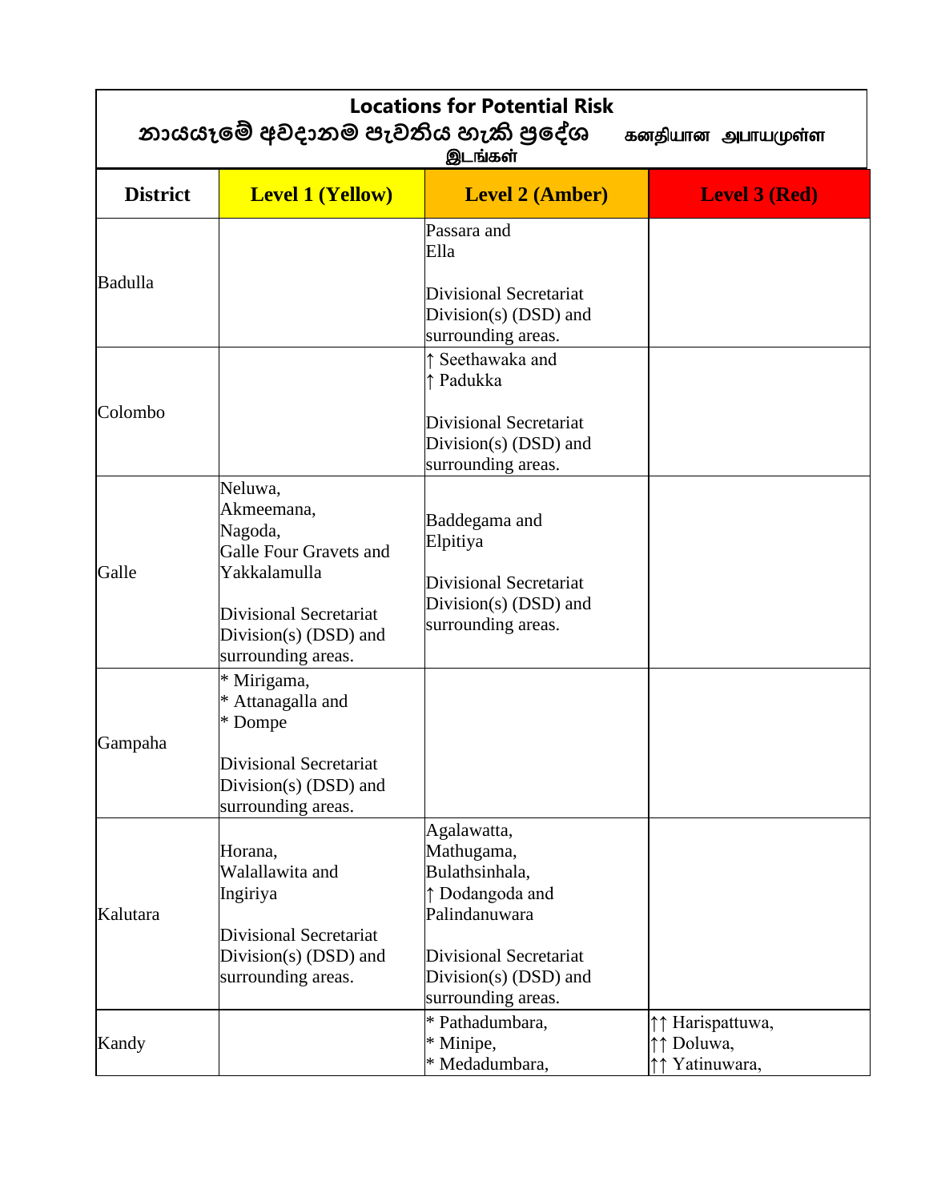| <b>Locations for Potential Risk</b><br>නායයෑමේ අවදානම පැවතිය හැකි පුදේශ<br>கனதியான அபாயமுள்ள<br>இடங்கள் |                                                                                                                                                            |                                                                                                                                                                   |                                               |
|---------------------------------------------------------------------------------------------------------|------------------------------------------------------------------------------------------------------------------------------------------------------------|-------------------------------------------------------------------------------------------------------------------------------------------------------------------|-----------------------------------------------|
| <b>District</b>                                                                                         | <b>Level 1 (Yellow)</b>                                                                                                                                    | <b>Level 2 (Amber)</b>                                                                                                                                            | <b>Level 3 (Red)</b>                          |
| Badulla                                                                                                 |                                                                                                                                                            | Passara and<br>Ella<br>Divisional Secretariat<br>Division(s) $(DSD)$ and<br>surrounding areas.                                                                    |                                               |
| Colombo                                                                                                 |                                                                                                                                                            | ↑ Seethawaka and<br>↑ Padukka<br>Divisional Secretariat<br>Division(s) (DSD) and<br>surrounding areas.                                                            |                                               |
| Galle                                                                                                   | Neluwa,<br>Akmeemana,<br>Nagoda,<br>Galle Four Gravets and<br>Yakkalamulla<br><b>Divisional Secretariat</b><br>Division(s) (DSD) and<br>surrounding areas. | Baddegama and<br>Elpitiya<br><b>Divisional Secretariat</b><br>Division(s) $(DSD)$ and<br>surrounding areas.                                                       |                                               |
| Gampaha                                                                                                 | * Mirigama,<br>* Attanagalla and<br>* Dompe<br>Divisional Secretariat<br>Division(s) $(DSD)$ and<br>surrounding areas.                                     |                                                                                                                                                                   |                                               |
| Kalutara                                                                                                | Horana,<br>Walallawita and<br>Ingiriya<br>Divisional Secretariat<br>Division(s) (DSD) and<br>surrounding areas.                                            | Agalawatta,<br>Mathugama,<br>Bulathsinhala,<br>↑ Dodangoda and<br>Palindanuwara<br><b>Divisional Secretariat</b><br>Division(s) $(DSD)$ and<br>surrounding areas. |                                               |
| Kandy                                                                                                   |                                                                                                                                                            | * Pathadumbara,<br>* Minipe,<br>* Medadumbara,                                                                                                                    | ↑↑ Harispattuwa,<br>↑↑ Doluwa,<br>Yatinuwara, |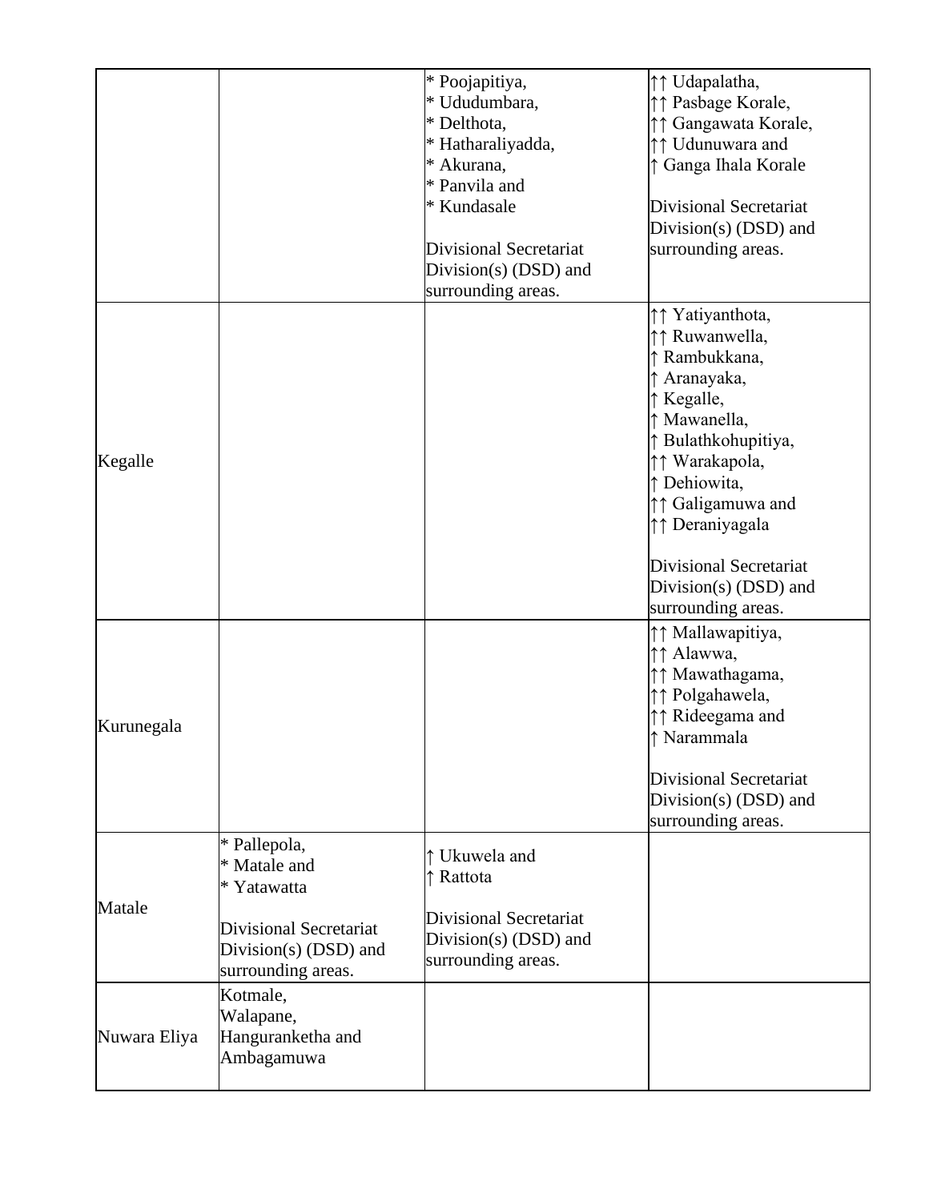|              |                        | * Poojapitiya,                | ↑↑ Udapalatha,                |
|--------------|------------------------|-------------------------------|-------------------------------|
|              |                        | * Ududumbara,                 | ↑↑ Pasbage Korale,            |
|              |                        | * Delthota,                   | ↑↑ Gangawata Korale,          |
|              |                        | * Hatharaliyadda,             | ↑↑ Udunuwara and              |
|              |                        | * Akurana,                    | ↑ Ganga Ihala Korale          |
|              |                        | * Panvila and                 |                               |
|              |                        | * Kundasale                   | <b>Divisional Secretariat</b> |
|              |                        |                               | Division(s) (DSD) and         |
|              |                        | <b>Divisional Secretariat</b> | surrounding areas.            |
|              |                        | Division(s) $(DSD)$ and       |                               |
|              |                        | surrounding areas.            |                               |
|              |                        |                               | ↑↑ Yatiyanthota,              |
|              |                        |                               | ↑↑ Ruwanwella,                |
|              |                        |                               | ↑ Rambukkana,                 |
|              |                        |                               | ↑ Aranayaka,                  |
|              |                        |                               | ↑ Kegalle,                    |
|              |                        |                               | ↑ Mawanella,                  |
|              |                        |                               | ↑ Bulathkohupitiya,           |
|              |                        |                               | ↑↑ Warakapola,                |
| Kegalle      |                        |                               |                               |
|              |                        |                               | ↑ Dehiowita,                  |
|              |                        |                               | ↑↑ Galigamuwa and             |
|              |                        |                               | ↑↑ Deraniyagala               |
|              |                        |                               | <b>Divisional Secretariat</b> |
|              |                        |                               | Division(s) $(DSD)$ and       |
|              |                        |                               | surrounding areas.            |
|              |                        |                               | ↑↑ Mallawapitiya,             |
|              |                        |                               |                               |
|              |                        |                               | ↑↑ Alawwa,                    |
|              |                        |                               | ↑↑ Mawathagama,               |
|              |                        |                               | ↑↑ Polgahawela,               |
| Kurunegala   |                        |                               | ↑↑ Rideegama and              |
|              |                        |                               | ↑ Narammala                   |
|              |                        |                               | <b>Divisional Secretariat</b> |
|              |                        |                               | Division(s) $(DSD)$ and       |
|              |                        |                               | surrounding areas.            |
|              | * Pallepola,           |                               |                               |
|              | * Matale and           | ↑ Ukuwela and                 |                               |
|              | * Yatawatta            | ↑ Rattota                     |                               |
| Matale       |                        | <b>Divisional Secretariat</b> |                               |
|              | Divisional Secretariat |                               |                               |
|              | Division(s) (DSD) and  | Division(s) $(DSD)$ and       |                               |
|              | surrounding areas.     | surrounding areas.            |                               |
|              | Kotmale,               |                               |                               |
|              | Walapane,              |                               |                               |
| Nuwara Eliya | Hanguranketha and      |                               |                               |
|              | Ambagamuwa             |                               |                               |
|              |                        |                               |                               |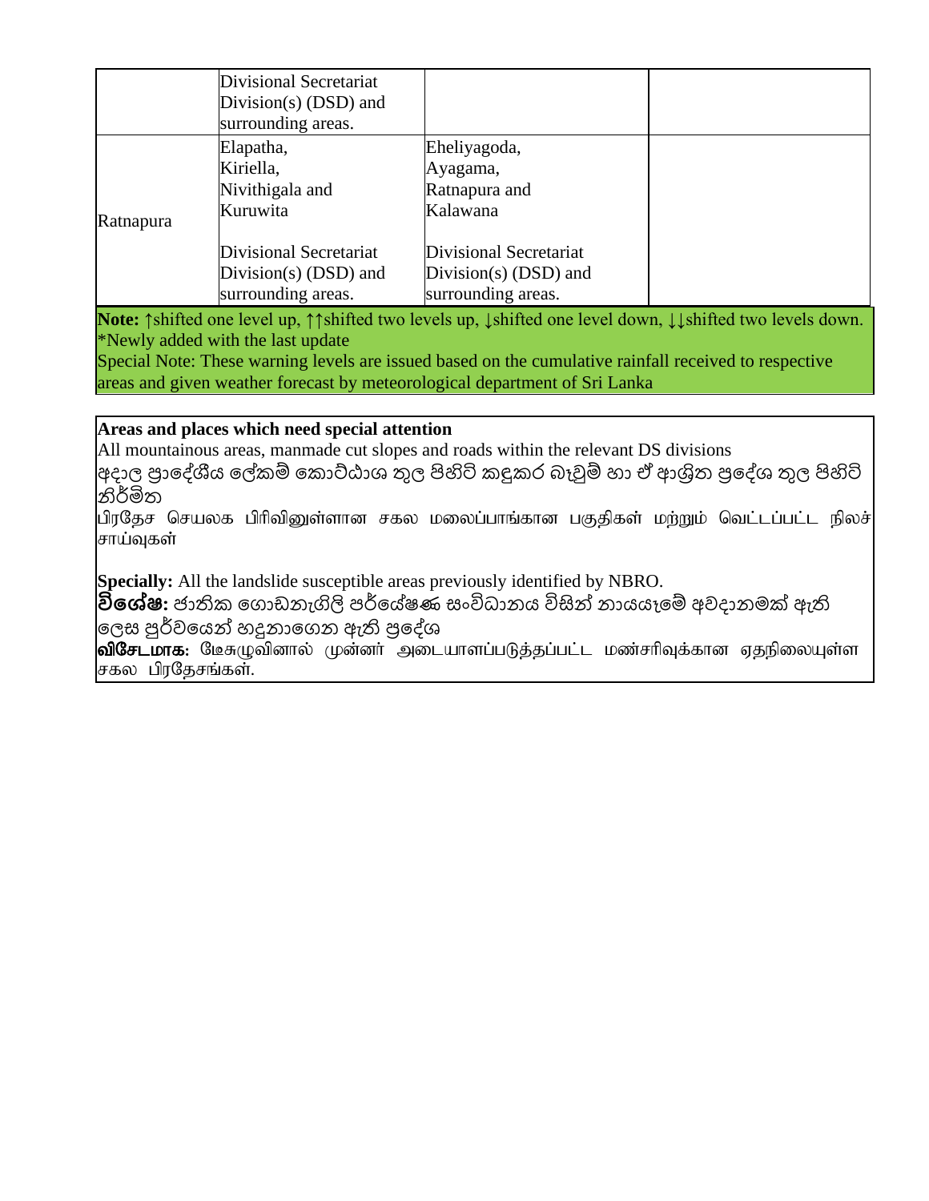|           | Divisional Secretariat<br>Division(s) $(DSD)$ and<br>surrounding areas. |                                                                         |  |
|-----------|-------------------------------------------------------------------------|-------------------------------------------------------------------------|--|
| Ratnapura | Elapatha,<br>Kiriella,<br>Nivithigala and<br>Kuruwita                   | Eheliyagoda,<br>Ayagama,<br>Ratnapura and<br>Kalawana                   |  |
|           | Divisional Secretariat<br>Division(s) $(DSD)$ and<br>surrounding areas. | Divisional Secretariat<br>Division(s) $(DSD)$ and<br>surrounding areas. |  |

**Note:** ↑shifted one level up, ↑↑shifted two levels up, ↓shifted one level down, ↓↓shifted two levels down. \*Newly added with the last update

Special Note: These warning levels are issued based on the cumulative rainfall received to respective areas and given weather forecast by meteorological department of Sri Lanka

### **Areas and places which need special attention**

All mountainous areas, manmade cut slopes and roads within the relevant DS divisions

|අදාල පුාදේශීය ලේකම් කොට්ඨාශ තුල පිහිටි කදුකර බෑවුම් හා ඒ ආශිුත පුදේශ තුල පිහිටි නිර්මිත

பிரதேச செயலக பிரிவினுள்ளான சகல மலைப்பாங்கான பகுதிகள் மற்றும் வெட்டப்பட்ட நிலச் சாய்வுகள்

**Specially:** All the landslide susceptible areas previously identified by NBRO.

<mark>විශේෂ:</mark> ජාතික ගොඩනැගිලි පර්යේෂණ සංවිධානය විසින් නායයෑමේ අවදානමක් ඇති

# ලෙස පුර්වයෙන් හදුනාගෙන ඇති පුදේශ

வி**சேடமாக:** மேசுழுவினால் முன்னா் அடையாளப்படுத்தப்பட்ட மண்சாிவுக்கான ஏதநிலையுள்ள சகல பிரதேசங்கள்.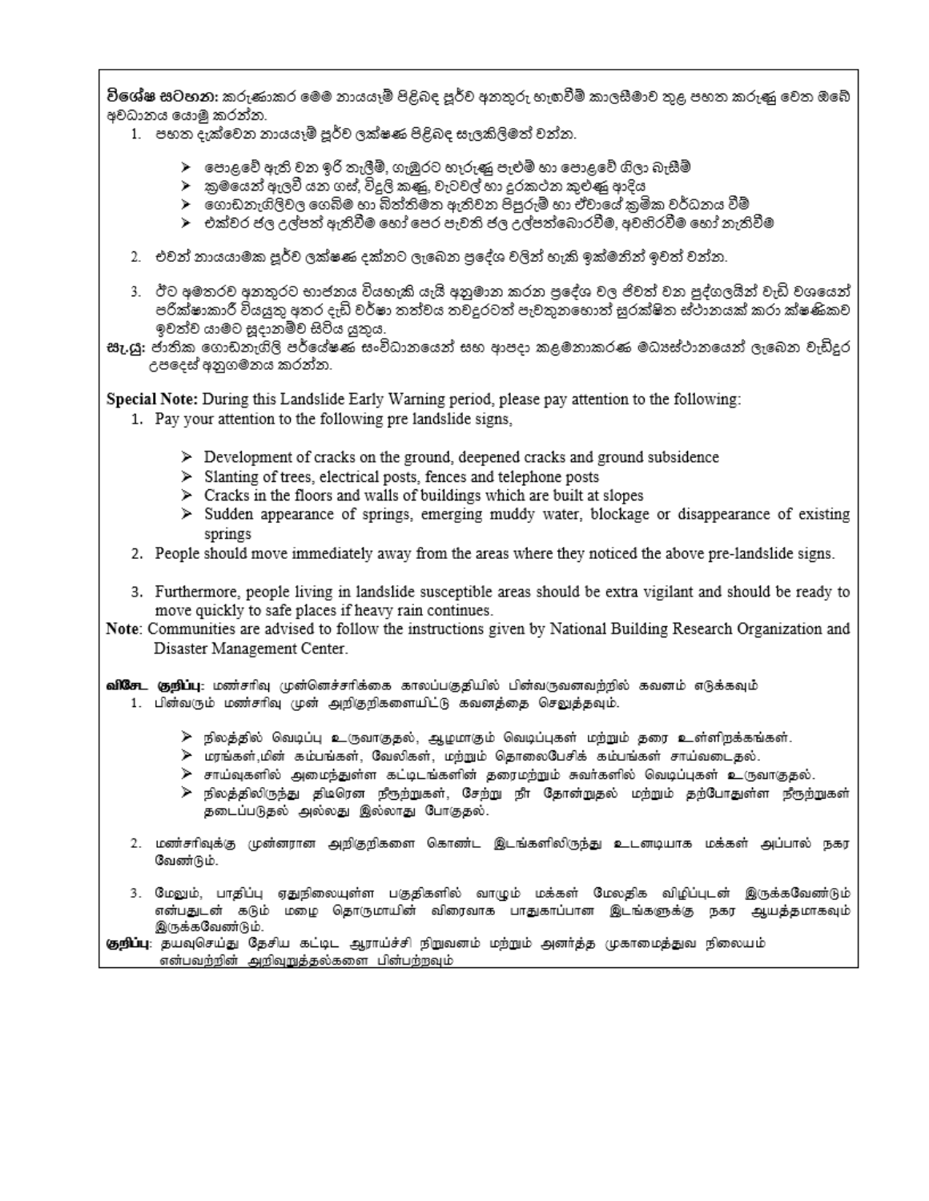විශේෂ සටහන: කරුණාකර මෙම නායයෑම් පිළිබද පූර්ව අනතුරු හැඟවීම් කාලසීමාව තුළ පහත කරුණු වෙත ඔබේ අවධානය යොමු කරන්න.

- 1. පහත දැක්වෙන නායයෑම් පූර්ව ලක්ෂණ පිළිබද සැලකිලිමත් වන්න.
	- $\blacktriangleright$  පොළවේ ඇති වන ඉරි තැලීම්, ගැඹුරට හෑරුණු පැළුම් හා පොළවේ ගිලා බැසීම්
	- ≻ු කුමයෙන් ඇලවී යන ගස්, විදුලි කළයි, වැටවල් හා දුරකථන කුළුණු ආදිය
	- ⊁ු ගොඩනැගිලිවල ගෙබිම හා බිත්තිමත ඇතිවන පිපුරුම් හා ඒවායේ කුමික වර්ධනය වීම්
	- ≻ එක්වර ජල උල්පත් ඇතිවීම හෝ පෙර පැවති ජල උල්පත්බොරවීම. අවහිරවීම හෝ තැතිවීම
- 2. එවන් නායයාමක පූර්ව ලක්ෂණ දක්නට ලැබෙන පුදේශ වලින් හැකි ඉක්මනින් ඉවත් වන්න.
- 3. ඊට අමතරව අනතුරට භාජනය වියහැකි යැයි අනුමාන කරන පුදේශ වල ජිවත් වන පුද්ගලයින් වැඩි වශයෙන් පරික්ෂාකාරී වියයුතු අතර දැඩි වර්ෂා තත්වය තවදුරටත් පැවතුනහොත් සුරක්ෂිත ස්ථානයක් කරා ක්ෂණිකව ඉවත්ව යාමට සදානම්ව සිටිය යුතුය.
- සැ.යූ: ජාතික ගොඩනැගිලි පර්යේෂණ සංවිධානයෙන් සහ ආපදා කළමනාකරණ මධාපේථානයෙන් ලැබෙන වැඩිදුර උපදෙස් අනුගමනය කරන්න.

Special Note: During this Landslide Early Warning period, please pay attention to the following:

- 1. Pay your attention to the following pre landslide signs,
	- $\triangleright$  Development of cracks on the ground, deepened cracks and ground subsidence
	- > Slanting of trees, electrical posts, fences and telephone posts
	- $\triangleright$  Cracks in the floors and walls of buildings which are built at slopes
	- > Sudden appearance of springs, emerging muddy water, blockage or disappearance of existing springs
- 2. People should move immediately away from the areas where they noticed the above pre-landslide signs.
- 3. Furthermore, people living in landslide susceptible areas should be extra vigilant and should be ready to move quickly to safe places if heavy rain continues.
- Note: Communities are advised to follow the instructions given by National Building Research Organization and Disaster Management Center.

வி&சட குறிப்பு: மண்சரிவு முன்னெச்சரிக்கை காலப்பகுதியில் பின்வருவனவற்றில் கவனம் எடுக்கவும்

- 1. பின்வரும் மண்சரிவு முன் அறிதறிகளையிட்டு கவனத்தை செலுத்தவும்.
	- ≫ நிலத்தில் வெடிப்பு உருவாகுதல், ஆழமாகும் வெடிப்புகள் மற்றும் தரை உள்ளிறக்கங்கள்.
	- ≫ மரங்கள்,மின் கம்பங்கள், வேலிகள், மற்றும் தொலைபேசிக் கம்பங்கள் சாய்வடைதல்.
	- ≽ சாய்வுகளில் அமைந்துள்ள கட்டிடங்களின் தரைமற்றும் சுவர்களில் வெடிப்புகள் உருவாகுதல்.
	- ≽ நிலத்திலிருந்து திடிரென நீரூற்றுகள், சேற்று நிா தோன்றுதல் மற்றும் தற்போதுள்ள நீரூற்றுகள் தடைப்படுதல் அல்லது இல்லாது போகுதல்.
- 2. மண்சரிவுக்கு முன்னரான அறிகுறிகளை கொண்ட இடங்களிலிருந்து உடனடியாக மக்கள் அப்பால் நகர வேண்டும்.
- 3. மேலும், பாதிப்பு ஏதுநிலையுள்ள பகுதிகளில் வாழும் மக்கள் மேலதிக விழிப்புடன் இருக்கவேணிடும் என்பதுடன் கடும் மழை தொருமாயின் விரைவாக பாதுகாப்பான இடங்களுக்கு நகர ஆயத்தமாகவும் இருக்கவேண்டும்.

**குறிப்பு**: தயவுசெய்து தேசிய கட்டிட ஆராய்ச்சி நிறுவனம் மற்றும் அனர்த்த முகாமைத்துவ நிலையம் என்பவற்றின் அறிவுறுத்தல்களை பின்பற்றவும்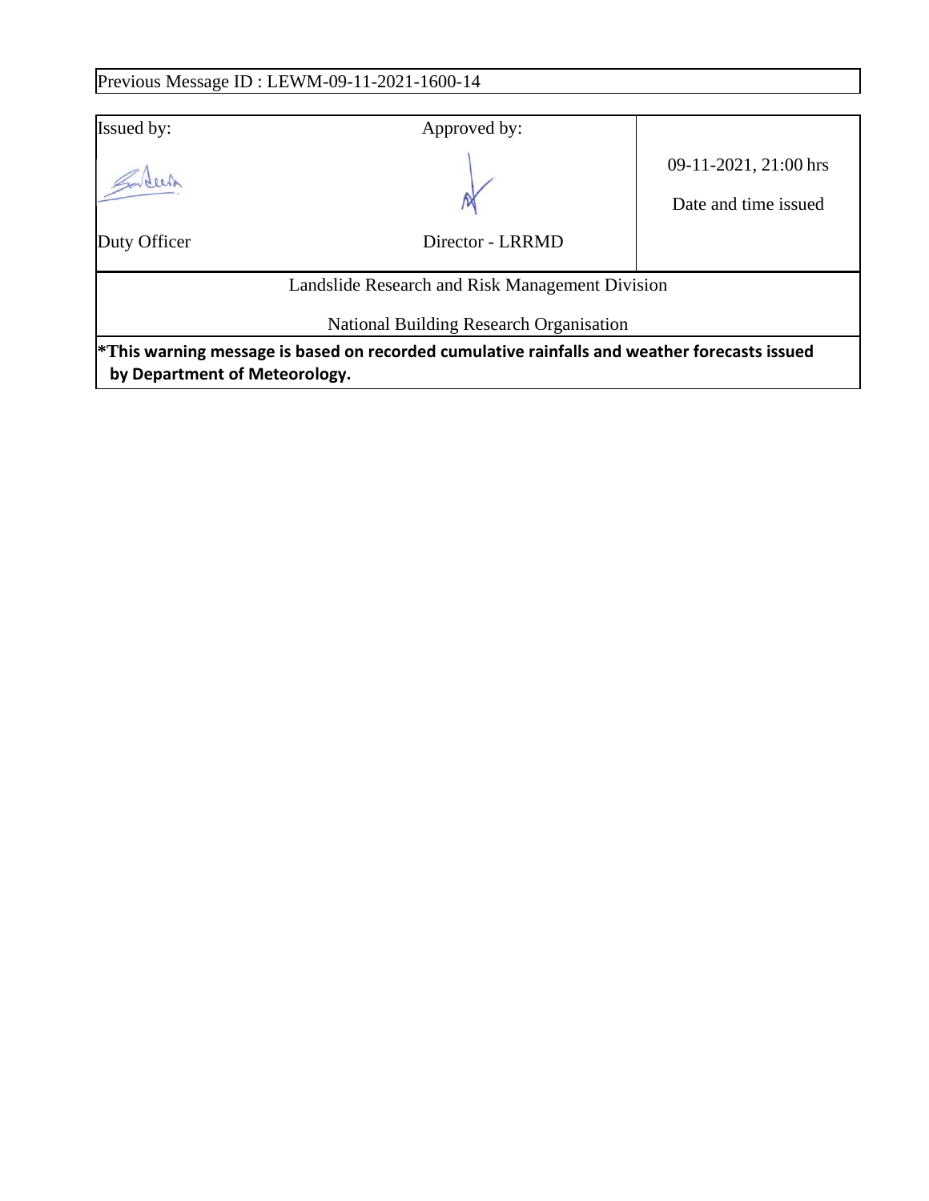# Previous Message ID : LEWM-09-11-2021-1600-14

| Issued by:                    | Approved by:                                                                                    |                                               |
|-------------------------------|-------------------------------------------------------------------------------------------------|-----------------------------------------------|
|                               |                                                                                                 | 09-11-2021, 21:00 hrs<br>Date and time issued |
| Duty Officer                  | Director - LRRMD                                                                                |                                               |
|                               | Landslide Research and Risk Management Division                                                 |                                               |
|                               | National Building Research Organisation                                                         |                                               |
| by Department of Meteorology. | $*$ This warning message is based on recorded cumulative rainfalls and weather forecasts issued |                                               |